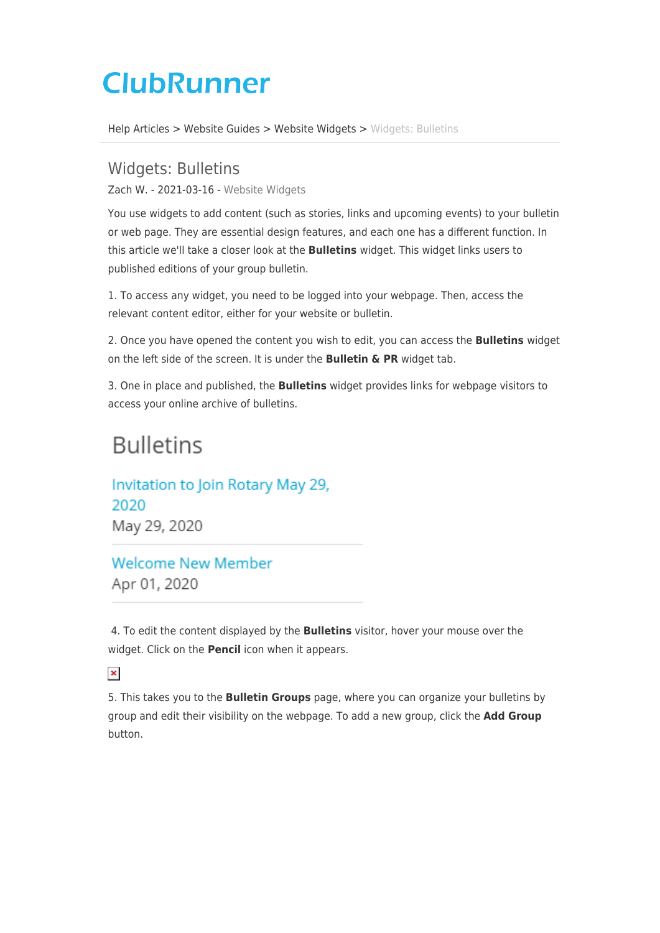# **ClubRunner**

[Help Articles](https://www.clubrunnersupport.com/kb) > [Website Guides](https://www.clubrunnersupport.com/kb/website-guides) > [Website Widgets](https://www.clubrunnersupport.com/kb/website-widgets) > [Widgets: Bulletins](https://www.clubrunnersupport.com/kb/articles/widgets-bulletins)

## Widgets: Bulletins

Zach W. - 2021-03-16 - [Website Widgets](https://www.clubrunnersupport.com/kb/website-widgets)

You use widgets to add content (such as stories, links and upcoming events) to your bulletin or web page. They are essential design features, and each one has a different function. In this article we'll take a closer look at the **Bulletins** widget. This widget links users to published editions of your group bulletin.

1. To access any widget, you need to be logged into your webpage. Then, access the relevant content editor, either for your website or bulletin.

2. Once you have opened the content you wish to edit, you can access the **Bulletins** widget on the left side of the screen. It is under the **Bulletin & PR** widget tab.

3. One in place and published, the **Bulletins** widget provides links for webpage visitors to access your online archive of bulletins.

## **Bulletins**

Invitation to Join Rotary May 29, 2020 May 29, 2020

**Welcome New Member** Apr 01, 2020

 4. To edit the content displayed by the **Bulletins** visitor, hover your mouse over the widget. Click on the **Pencil** icon when it appears.

### $\pmb{\times}$

5. This takes you to the **Bulletin Groups** page, where you can organize your bulletins by group and edit their visibility on the webpage. To add a new group, click the **Add Group** button.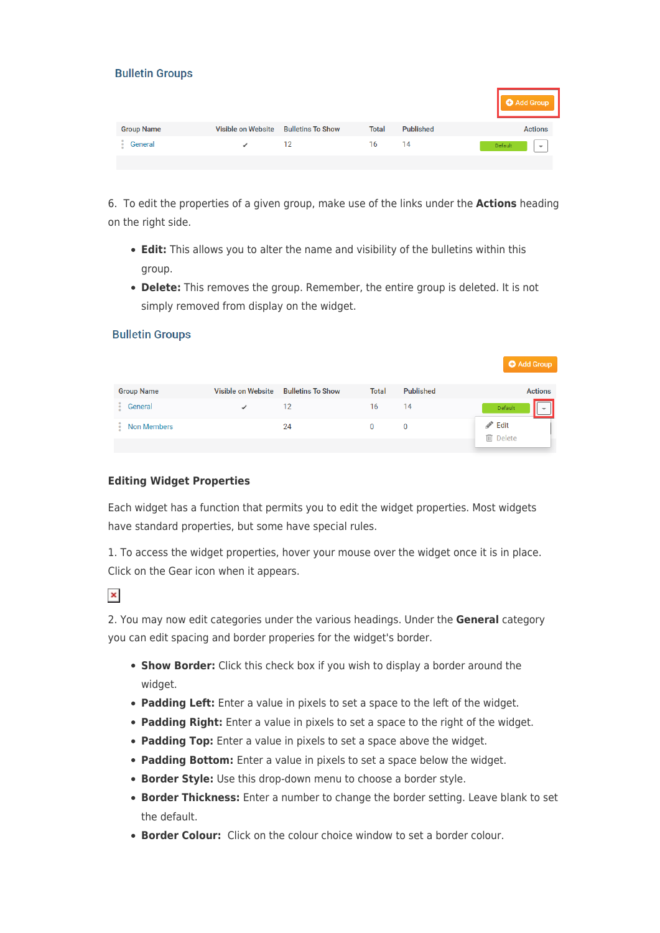|  | <b>Bulletin Groups</b> |  |
|--|------------------------|--|
|  |                        |  |

|                   |                    |                          |              |                  | <b>O</b> Add Group                  |
|-------------------|--------------------|--------------------------|--------------|------------------|-------------------------------------|
| <b>Group Name</b> | Visible on Website | <b>Bulletins To Show</b> | <b>Total</b> | <b>Published</b> | <b>Actions</b>                      |
| General           |                    | 12                       | 16           | 14               | Default<br>$\overline{\phantom{a}}$ |
|                   |                    |                          |              |                  |                                     |

6. To edit the properties of a given group, make use of the links under the **Actions** heading on the right side.

- **Edit:** This allows you to alter the name and visibility of the bulletins within this group.
- **Delete:** This removes the group. Remember, the entire group is deleted. It is not simply removed from display on the widget.

#### **Bulletin Groups**

|                    |                    |                          |              |                  | <b>O</b> Add Group                    |
|--------------------|--------------------|--------------------------|--------------|------------------|---------------------------------------|
|                    |                    |                          |              |                  |                                       |
| <b>Group Name</b>  | Visible on Website | <b>Bulletins To Show</b> | <b>Total</b> | <b>Published</b> | <b>Actions</b>                        |
| General            |                    | 12                       | 16           | 14               | Default<br>$\overline{\phantom{a}}$   |
| <b>Non Members</b> |                    | 24                       | 0            | 0                | $\mathscr{P}$ Edit<br><b>m</b> Delete |
|                    |                    |                          |              |                  |                                       |

#### **Editing Widget Properties**

Each widget has a function that permits you to edit the widget properties. Most widgets have standard properties, but some have special rules.

1. To access the widget properties, hover your mouse over the widget once it is in place. Click on the Gear icon when it appears.

 $\pmb{\times}$ 

2. You may now edit categories under the various headings. Under the **General** category you can edit spacing and border properies for the widget's border.

- **Show Border:** Click this check box if you wish to display a border around the widget.
- **Padding Left:** Enter a value in pixels to set a space to the left of the widget.
- **Padding Right:** Enter a value in pixels to set a space to the right of the widget.
- **Padding Top:** Enter a value in pixels to set a space above the widget.
- **Padding Bottom:** Enter a value in pixels to set a space below the widget.
- **Border Style:** Use this drop-down menu to choose a border style.
- **Border Thickness:** Enter a number to change the border setting. Leave blank to set the default.
- **Border Colour:** Click on the colour choice window to set a border colour.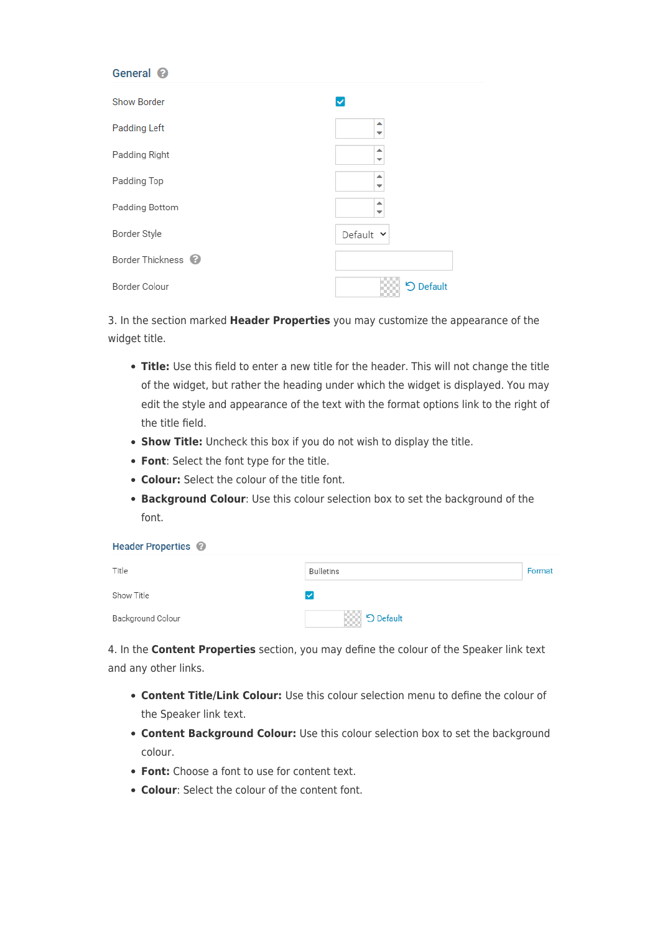#### General @

| <b>Show Border</b>            | ✓                             |
|-------------------------------|-------------------------------|
| <b>Padding Left</b>           | ▴<br>$\overline{\phantom{a}}$ |
| Padding Right                 | ▲<br>$\overline{\phantom{a}}$ |
| Padding Top                   | ▲<br>⇁                        |
| Padding Bottom                | ▲                             |
| Border Style                  | Default Y                     |
| Border Thickness <sup>@</sup> |                               |
| Border Colour                 | D Default                     |

3. In the section marked **Header Properties** you may customize the appearance of the widget title.

- **Title:** Use this field to enter a new title for the header. This will not change the title of the widget, but rather the heading under which the widget is displayed. You may edit the style and appearance of the text with the format options link to the right of the title field.
- **Show Title:** Uncheck this box if you do not wish to display the title.
- **Font**: Select the font type for the title.
- **Colour:** Select the colour of the title font.
- **Background Colour**: Use this colour selection box to set the background of the font.

| <b>Header Properties</b> |  |
|--------------------------|--|
|                          |  |

| Title             | <b>Bulletins</b> | Format |
|-------------------|------------------|--------|
| Show Title        |                  |        |
| Background Colour | <b>D</b> Default |        |

4. In the **Content Properties** section, you may define the colour of the Speaker link text and any other links.

- **Content Title/Link Colour:** Use this colour selection menu to define the colour of the Speaker link text.
- **Content Background Colour:** Use this colour selection box to set the background colour.
- **Font:** Choose a font to use for content text.
- **Colour**: Select the colour of the content font.